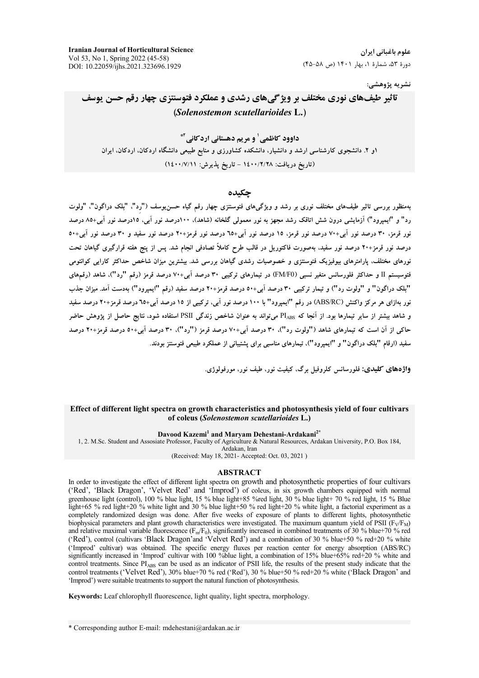**Iranian Journal of Horticultural Science** Vol 53, No 1, Spring 2022 (45-58) DOI: 10.22059/ijhs.2021.323696.1929

علوم باغیانی ایران دورهٔ ۵۳، شمارهٔ ۱، بهار ۱۴۰۱ (ص ۵۸-۴۵)

نشريه پژوهشي:

# تاثیر طیفهای نوری مختلف بر ویژگیمهای رشدی و عملکرد فتوسنتزی چهار رقم حسن یوسف (Solenostemon scutellarioides L.)

داوود کاظمے <sup>۱</sup> و مریم دهستانی ارد کانی<sup>۲\*</sup> ۱و ۲. دانشجوی کارشناسی ارشد و دانشیار، دانشکده کشاورزی و منابع طبیعی دانشگاه اردکان، اردکان، ایران (تاریخ دریافت: ۱٤٠٠/٢/٢٨ - تاریخ پذیرش: ١٤٠٠/٧/١١)

### حكىدە

بهمنظور بررسی تاثیر طیفهای مختلف نوری بر رشد و ویژگیهای فتوسنتزی چهار رقم گیاه حسن یوسف ("رد"، "بلک دراگون"، "ولوت رد" و "ایمپرود") آزمایشی درون شش اتاقک رشد مجهز به نور معمولی گلخانه (شاهد). ۱۰۰درصد نور آبی، ۱۵درصد نور آبی+۸۵ درصد نور قرمز، ۳۰ درصد نور آبی+۷۰ درصد نور قرمز، ۱۵ درصد نور آبی+٦٥ درصد نور قرمز+۲۰ درصد نور سفید و ۳۰ درصد نور آبی+۵۰ درصد نور قرمز+۲۰ درصد نور سفید، بهصورت فاکتوریل در قالب طرح کاملاً تصادفی انجام شد. پس از پنج هفته قرارگیری گیاهان تحت .<br>نورهای مختلف، پارامترهای بیوفیزیک فتوسنتزی و خصوصیات رشدی گیاهان بررسی شد. بیشترین میزان شاخص حداکثر کارایی کوانتومی فتوسیستم II و حداکثر فلورسانس متغیر نسبی (FM/F0) در تیمارهای ترکیبی ۳۰ درصد آبی+۷۰ درصد قرمز (رقم "رد")، شاهد (رقمهای "بلک دراگون" و "ولوت رد") و تیمار ترکیبی ۳۰ درصد آبی+٥٠ درصد قرمز+۲۰ درصد سفید (رقم "ایمیرود") بهدست آمد. میزان جذب نور بهازای هر مرکز واکنش (ABS/RC) در رقم "ایمیرود" با ۱۰۰ درصد نور آبی، ترکیبی از ۱۵ درصد آبی+٦٥ درصد قرمز+٢٠ درصد سفید و شاهد بیشتر از سایر تبمارها بود. از آنجا که PI<sub>ABS</sub> می تواند به عنوان شاخص زندگی PSII استفاده شود، نتایج حاصل از یژوهش حاضر حاکی از آن است که تیمارهای شاهد ("ولوت رد")، ۳۰ درصد آبی+۷۰ درصد قرمز ("رد")، ۳۰ درصد آبی+۵۰ درصد قرمز+۲۰ درصد سفید (ارقام "بلک دراگون" و "ایمیرود")، تیمارهای مناسبی برای پشتیبانی از عملکرد طبیعی فتوسنتز بودند.

**واژههای کلیدی: فلورسانس کلروفیل برگ، کیفیت نور، طیف نور، مورفولوژی.** 

### Effect of different light spectra on growth characteristics and photosynthesis yield of four cultivars of coleus (Solenostemon scutellarioides L.)

#### Davood Kazemi<sup>1</sup> and Marvam Dehestani-Ardakani<sup>2\*</sup>

1, 2. M.Sc. Student and Assosiate Professor, Faculty of Agriculture & Natural Resources, Ardakan University, P.O. Box 184, Ardakan, Iran (Received: May 18, 2021- Accepted: Oct. 03, 2021)

### **ABSTRACT**

In order to investigate the effect of different light spectra on growth and photosynthetic properties of four cultivars ('Red', 'Black Dragon', 'Velvet Red' and 'Improd') of coleus, in six growth chambers equipped with normal greenhouse light (control), 100 % blue light, 15 % blue light+85 % red light, 30 % blue light+70 % red light, 15 % Blue  $E$  light+65 % red light+20 % white light and 30 % blue light+50 % red light+20 % white light, a factorial experiment as a completely randomized design was done. After five weeks of exposure of plants to different lights, photosynthetic biophysical parameters and plant growth characteristics were investigated. The maximum quantum yield of PSII (F<sub>V</sub>/F<sub>M</sub>) and relative maximal variable fluorescence  $(F_m/F_0)$ , significantly increased in combined treatments of 30 % blue+70 % red ('Red'), control (cultivars 'Black Dragon'and 'Velvet Red') and a combination of 30 % blue+50 % red+20 % white ('Improd' cultivar) was obtained. The specific energy fluxes per reaction center for energy absorption (ABS/RC) significantly increased in 'Improd' cultivar with 100 %blue light, a combination of 15% blue+65% red+20 % white and control treatments. Since PIABS can be used as an indicator of PSII life, the results of the present study indicate that the control treatments ('Velvet Red'), 30% blue+70 % red ('Red'), 30 % blue+50 % red+20 % white ('Black Dragon' and 'Improd') were suitable treatments to support the natural function of photosynthesis.

Keywords: Leaf chlorophyll fluorescence, light quality, light spectra, morphology.

<sup>\*</sup> Corresponding author E-mail: mdehestani@ardakan.ac.ir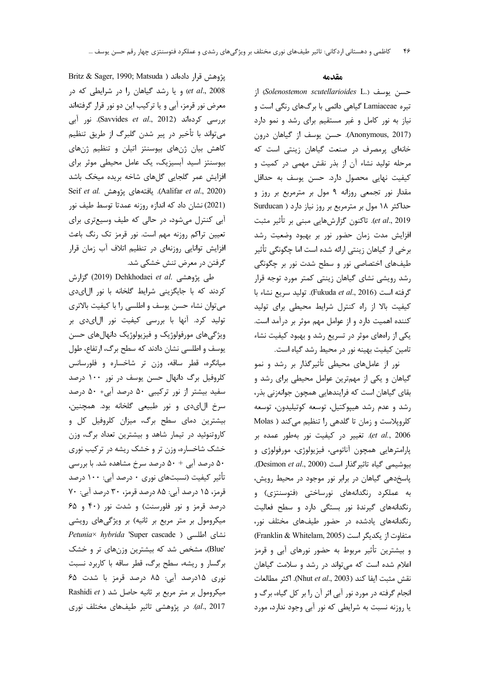Britz & Sager, 1990; Matsuda ) يژوهش قرار دادهاند et al., 2008) و یا رشد گیاهان را در شرایطی که در معرض نور قرمز، آبی و یا ترکیب این دو نور قرار گرفتهاند بررسی کردهاند (Savvides et al., 2012). نور آبی میتواند با تأخیر در پیر شدن گلبرگ از طریق تنظیم كاهش بيان ژنهاى بيوسنتز اتيلن و تنظيم ژنهاى بیوسنتز اسید آبسیزیک، یک عامل محیطی موثر برای افزایش عمر گلجایی گلهای شاخه بریده میخک باشد Seif et al. يافتههاى يژوهش .Aalifar et al., 2020) (2021) نشان داد که اندازه روزنه عمدتا توسط طيف نور آبی کنترل میشود، در حالی که طیف وسیعتری برای تعیین تراکم روزنه مهم است. نور قرمز تک رنگ باعث افزایش توانایی روزنهای در تنظیم اتلاف آب زمان قرار گرفتن در معرض تنش خشکی شد.

طی پژوهشی .Dehkhodaei *et al (*2019) گزارش کردند که با جایگزینی شرایط گلخانه با نور ال ای دی می توان نشاء حسن یوسف و اطلسی را با کیفیت بالاتری تولید کرد. آنها با بررسی کیفیت نور ال|یدی بر ویژگیهای مورفولوژیک و فیزیولوژیک دانهالهای حسن یوسف و اطلسی نشان دادند که سطح برگ، ارتفاع، طول میانگره، قطر ساقه، وزن تر شاخساره و فلورسانس کلروفیل برگ دانهال حسن یوسف در نور ۱۰۰ درصد سفید بیشتر از نور ترکیبی ۵۰ درصد آبی+ ۵۰ درصد سرخ الاي دي و نور طبيعي گلخانه بود. همچنين، بیشترین دمای سطح برگ، میزان کلروفیل کل و کاروتنوئید در تیمار شاهد و بیشترین تعداد برگ، وزن خشک شاخساره، وزن تر و خشک ریشه در ترکیب نوری ۵۰ درصد آبی + ۵۰ درصد سرخ مشاهده شد. با بررسی تأثیر کیفیت (نسبتهای نوری ۰ درصد آبی: ۱۰۰ درصد قرمز، ۱۵ درصد آبي: ۸۵ درصد قرمز، ۳۰ درصد آبي: ۷۰ درصد قرمز و نور فلورسنت) و شدت نور (۴۰ و ۶۵ میکرومول بر متر مربع بر ثانیه) بر ویژگیهای رویشی Petunia × hybrida 'Super cascade ) نشاى اطلسى 'Blue)، مشخص شد که بیشترین وزنهای تر و خشک برگسار و ریشه، سطح برگ، قطر ساقه با کاربرد نسبت نوری ۱۵درصد آبی: ۸۵ درصد قرمز با شدت ۶۵ Rashidi et ) میکرومول بر متر مربع بر ثانیه حاصل شد al., 2017). در پژوهشی تاثیر طیفهای مختلف نوری

## مقدمه

; (Solenostemon scutellarioides L.) جسن يوسف تیره Lamiaceae گیاهی دائمی با برگهای رنگی است و نیاز به نور کامل و غیر مستقیم برای رشد و نمو دارد (Anonymous, 2017). حسن يوسف از گياهان درون خانهای پرمصرف در صنعت گیاهان زینتی است که مرحله تولید نشاء آن از بذر نقش مهمی در کمیت و کیفیت نهایی محصول دارد. حسن یوسف به حداقل مقدار نور تجمعی روزانه ۹ مول بر مترمربع بر روز و حداکثر ١٨ مول بر مترمربع بر روز نياز دارد ( Surducan et al., 2019). تاكنون گزارشهايي مبني بر تأثير مثبت افزایش مدت زمان حضور نور بر بهبود وضعیت رشد برخی از گیاهان زینتی ارائه شده است اما چگونگی تأثیر طیفهای اختصاصی نور و سطح شدت نور بر چگونگی رشد رویشی نشای گیاهان زینتی کمتر مورد توجه قرار گرفته است (Fukuda et al., 2016). توليد سريع نشاء با كيفيت بالا از راه كنترل شرايط محيطى براى توليد کننده اهمیت دارد و از عوامل مهم موثر بر درآمد است. یکی از راههای موثر در تسریع رشد و بهبود کیفیت نشاء تامین کیفیت بهینه نور در محیط رشد گیاه است.

نور از عاملهای محیطی تأثیرگذار بر رشد و نمو گیاهان و یکی از مهمترین عوامل محیطی برای رشد و بقای گیاهان است که فرایندهایی همچون جوانهزنی بذر، رشد و عدم رشد هیپوکتیل، توسعه کوتیلیدون، توسعه كلروپلاست و زمان تا گلدهي را تنظيم ميكند ( Molas et al., 2006). تغيير در كيفيت نور بهطور عمده بر پارامترهایی همچون آناتومی، فیزیولوژی، مورفولوژی و بيوشيمي گياه تاثير گذار است (Desimon et al., 2000). پاسخدهی گیاهان در برابر نور موجود در محیط رویش، به عملکرد رنگدانههای نورساختی (فتوسنتزی) و رنگدانههای گیرندهٔ نور بستگی دارد و سطح فعالیت رنگدانههای یادشده در حضور طیفهای مختلف نور، متفاوت از یکدیگر است (Franklin & Whitelam, 2005) و بیشترین تأثیر مربوط به حضور نورهای آبی و قرمز اعلام شده است که می تواند در رشد و سلامت گیاهان نقش مثبت ايفا كند (Nhut et al., 2003). اكثر مطالعات انجام گرفته در مورد نور آبی اثر آن را بر کل گیاه، برگ و یا روزنه نسبت به شرایطی که نور آبی وجود ندارد، مورد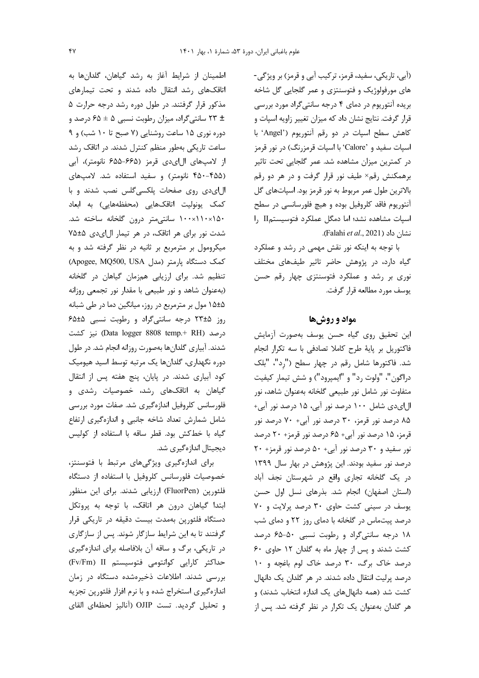(أبي، تاريكي، سفيد، قرمز، تركيب أبي و قرمز) بر ويژگي-های مورفولوژیک و فتوسنتزی و عمر گلجایی گل شاخه بریده آنتوریوم در دمای ۴ درجه سانتیگراد مورد بررسی قرار گرفت. نتایج نشان داد که میزان تغییر زاویه اسپات و كاهش سطح اسپات در دو رقم آنتوريوم ('Angel' با اسپات سفید و 'Calore' با اسپات قرمزرنگ) در نور قرمز در کمترین میزان مشاهده شد. عمر گلجایی تحت تاثیر برهمکنش رقم× طیف نور قرار گرفت و در هر دو رقم بالاترین طول عمر مربوط به نور قرمز بود. اسپاتهای گل آنتوریوم فاقد کلروفیل بوده و هیچ فلورسانسی در سطح اسپات مشاهده نشد؛ اما دمگل عملکرد فتوسیستمII را نشان داد (Falahi et al., 2021).

با توجه به اینکه نور نقش مهمی در رشد و عملکرد گیاه دارد، در پژوهش حاضر تاثیر طیفهای مختلف نوری بر رشد و عملکرد فتوسنتزی چهار رقم حسن یوسف مورد مطالعه قرار گرفت.

# مواد و روشها

این تحقیق روی گیاه حسن یوسف بهصورت آزمایش فاكتوريل بر پايهٔ طرح كاملا تصادفي با سه تكرار انجام شد. فاكتورها شامل رقم در چهار سطح ("رد"، "بلك دراگون"، "ولوت رد" و "ايمپرود") و شش تيمار كيفيت متفاوت نور شامل نور طبیعی گلخانه بهعنوان شاهد، نور ال|ی دی شامل ۱۰۰ درصد نور آبی، ۱۵ درصد نور آبی+ ۸۵ درصد نور قرمز، ۳۰ درصد نور آبی+ ۷۰ درصد نور قرمز، ۱۵ درصد نور آبی+ ۶۵ درصد نور قرمز+ ۲۰ درصد نور سفید و ۳۰ درصد نور آبی+ ۵۰ درصد نور قرمز+ ۲۰ درصد نور سفید بودند. این پژوهش در بهار سال ۱۳۹۹ در یک گلخانه تجاری واقع در شهرستان نجف آباد (استان اصفهان) انجام شد. بذرهای نسل اول حسن یوسف در سینی کشت حاوی ۳۰ درصد پرلایت و ۷۰ درصد پیتماس در گلخانه با دمای روز ۲۲ و دمای شب ١٨ درجه سانتي گراد و رطوبت نسبي ٥٠-۶۵ درصد کشت شدند و پس از چهار ماه به گلدان ١٢ حاوى ۶۰ درصد خاک برگ، ۳۰ درصد خاک لوم باغچه و ۱۰ درصد پرلیت انتقال داده شدند. در هر گلدان یک دانهال کشت شد (همه دانهالهای یک اندازه انتخاب شدند) و هر گلدان بهعنوان یک تکرار در نظر گرفته شد. پس از

اطمينان از شرايط آغاز به رشد گياهان، گلدانها به اتاقکهای رشد انتقال داده شدند و تحت تیمارهای مذکور قرار گرفتند. در طول دوره رشد درجه حرارت ۵ ± ٢٣ سانتي گراد، ميزان رطوبت نسبي ه ± ۶۵ درصد و دوره نوری ۱۵ ساعت روشنایی (۷ صبح تا ۱۰ شب) و ۹ ساعت تاریکی بهطور منظم کنترل شدند. در اتاقک رشد از لامپهای ال|یدی قرمز (۶۶۵–۶۵۵ نانومتر)، آبی (۴۵۵-۴۵۰ نانومتر) و سفید استفاده شد. لامپهای الای دی روی صفحات پلکسی گلس نصب شدند و با كمك يونوليت اتاقكهايي (محفظههايي) به ابعاد ۱۰۰×۱۱۰×۱۱۰ سانتی متر درون گلخانه ساخته شد. شدت نور برای هر اتاقک، در هر تیمار الای دی ۷۵±۵ میکرومول بر مترمربع بر ثانیه در نظر گرفته شد و به CApogee, MQ500, USA (مدل) (Apogee, MQ500, USA تنظیم شد. برای ارزیابی همزمان گیاهان در گلخانه (بهعنوان شاهد و نور طبیعی با مقدار نور تجمعی روزانه ۱۵±۵ مول بر مترمربع در روز، میانگین دما در طی شبانه روز ۲۳±۵ درجه سانتی گراد و رطوبت نسبی ۶۵±۶۵ درصد (Data logger 8808 temp.+ RH) نیز کشت شدند. آبیاری گلدانها بهصورت روزانه انجام شد. در طول دوره نگهداری، گلدانها یک مرتبه توسط اسید هیومیک کود آبیاری شدند. در پایان، پنج هفته پس از انتقال گیاهان به اتاقکهای رشد، خصوصیات رشدی و فلورسانس كلروفيل اندازهگيري شد. صفات مورد بررسي شامل شمارش تعداد شاخه جانبي و اندازهگيري ارتفاع گیاه با خطکش بود. قطر ساقه با استفاده از کولیس دیجیتال اندازهگیری شد.

برای اندازهگیری ویژگیهای مرتبط با فتوسنتز، خصوصیات فلورسانس كلروفیل با استفاده از دستگاه فلئورین (FluorPen) ارزیابی شدند. برای این منظور ابتدا گیاهان درون هر اتاقک، با توجه به پروتکل دستگاه فلئورپن بهمدت بیست دقیقه در تاریکی قرار گرفتند تا به این شرایط سازگار شوند. پس از سازگاری در تاریکی، برگ و ساقه آن بلافاصله برای اندازهگیری حداكثر كارايي كوانتومي فتوسيستم Fv/Fm) II) بررسی شدند. اطلاعات ذخیرهشده دستگاه در زمان اندازهگیری استخراج شده و با نرم افزار فلئورپن تجزیه و تحليل گرديد. تست OJIP (آناليز لحظهاى القاى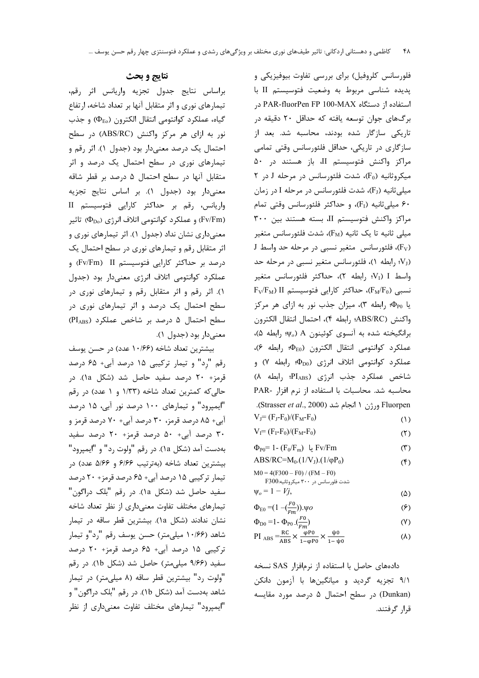براساس نتايج جدول تجزيه واريانس اثر رقم، تیمارهای نوری و اثر متقابل آنها بر تعداد شاخه، ارتفاع گياه، عملكرد كوانتومي انتقال الكترون (Φ<sub>Eo</sub>) و جذب نور به ازای هر مرکز واکنش (ABS/RC) در سطح احتمال یک درصد معنیدار بود (جدول ۱). اثر رقم و تیمارهای نوری در سطح احتمال یک درصد و اثر متقابل آنها در سطح احتمال ۵ درصد بر قطر شاقه معنى دار بود (جدول ١). بر اساس نتايج تجزيه واریانس، رقم بر حداکثر کارایی فتوسیستم II و عملکرد کوانتومی اتلاف انرژی (Pv/Fm) تاثیر (C $\Phi_{\rm Do}$ معنی داری نشان نداد (جدول ۱). اثر تیمارهای نوری و اثر متقابل رقم و تیمارهای نوری در سطح احتمال یک درصد بر حداکثر کارایی فتوسیستم Fv/Fm) II و عملکرد کوانتومی اتلاف انرژی معنیدار بود (جدول ١). اثر رقم و اثر متقابل رقم و تيمارهاى نورى در سطح احتمال یک درصد و اثر تیمارهای نوری در سطح احتمال ۵ درصد بر شاخص عملکرد (PIABS) معنىدار بود (جدول ١).

بیشترین تعداد شاخه (۱۰/۶۶ عدد) در حسن پوسف رقم "رد" و تیمار ترکیبی ۱۵ درصد آبی+ ۶۵ درصد قرمز+ ۲۰ درصد سفید حاصل شد (شکل ۱۵). در حالی که کمترین تعداد شاخه (۱/۳۳ و ۱ عدد) در رقم "ایمپرود" و تیمارهای ۱۰۰ درصد نور آبی، ۱۵ درصد آبی+ ۸۵ درصد قرمز، ۳۰ درصد آبی+ ۷۰ درصد قرمز و ۳۰ درصد آبی+ ۵۰ درصد قرمز+ ۲۰ درصد سفید بهدست آمد (شكل ١a). در رقم "ولوت رد" و "ايمپرود" بيشترين تعداد شاخه (بهترتيب ۶۱۶۶ و ۵۱۶۶ عدد) در تیمار ترکیبی ۱۵ درصد آبی+ ۶۵ درصد قرمز+ ۲۰ درصد سفيد حاصل شد (شكل la). در رقم "بلك دراگون" تیمارهای مختلف تفاوت معنیداری از نظر تعداد شاخه نشان ندادند (شكل la). بيشترين قطر ساقه در تيمار شاهد (۱۰/۶۶ میلی متر) حسن یوسف رقم "رد"و تیمار ترکیبی ۱۵ درصد آبی+ ۶۵ درصد قرمز+ ۲۰ درصد سفید (۹/۶۶ میلی متر) حاصل شد (شکل ۱b). در رقم "ولوت رد" بیشترین قطر ساقه (۸ میلی متر) در تیمار شاهد بهدست آمد (شكل lb). در رقم "بلک دراگون" و "ایمپرود" تیمارهای مختلف تفاوت معنیداری از نظر

فلورسانس کلروفیل) برای بررسی تفاوت بیوفیزیکی و پدیده شناسی مربوط به وضعیت فتوسیستم II با استفاده از دستگاه PAR-fluorPen FP 100-MAX برگهای جوان توسعه یافته که حداقل ۲۰ دقیقه در تاریکی سازگار شده بودند، محاسبه شد. بعد از سازگاری در تاریکی، حداقل فلئورسانس وقتی تمامی مراکز واکنش فتوسیستم II، باز هستند در ۵۰ میکروثانیه (F0)، شدت فلئورسانس در مرحله J در ۲ میلی ثانیه (FJ)، شدت فلئورسانس در مرحله I در زمان ۶۰ میلی ثانیه (F1)، و حداکثر فلئورسانس وقتی تمام مراكز واكنش فتوسيستم II، بسته هستند بين ٣٠٠ میلی ثانیه تا یک ثانیه ( $F_M$ )، شدت فلئورسانس متغیر  $J$  فلئورسانس متغیر نسبی در مرحله حد واسط $(F_V)$ (VJ) رابطه ۱)، فلئورسانس متغير نسبي در مرحله حد واسط V<sub>1</sub>) I رابطه ۲)، حداکثر فلئورسانس متغير  $F_V/F_M$ ) II نسبی (F<sub>M</sub>/F<sub>0</sub>)، حداکثر کارایی فتوسیستم یا ... وابطه ۳)، میزان جذب نور به ازای هر مرکز واكنش (ABS/RC؛ رابطه ۴)، احتمال انتقال الكترون برانگیخته شده به آنسوی کوئینون A (ψ, γ, رابطه ۵)، عملكرد كوانتومى انتقال الكترون (4E0؛ رابطه ۶)، عملکرد کوانتومی اتلاف انرژی (4<sub>D0</sub>) رابطه ۷) و شاخص عملكرد جذب انرژى (PIABS؛ رابطه ٨) محاسبه شد. محاسبات با استفاده از نرم افزار -PAR Fluorpen ورژن ١ انجام شد (Strasser et al., 2000).  $V_J = (F_J - F_0)/(F_M - F_0)$  $(1)$  $V_I = (F_I - F_0)/(F_M - F_0)$  $(5)$  $\Phi_{P0}$ یا  $(F_0/F_m)$  - I -  $Fv/Fm$  $(1)$ ABS/RC= $M_0$ .(1/V<sub>J</sub>).(1/ $\phi P_0$ )  $($ f $)$  $M0 = 4(F300 - F0) / (FM - F0)$ شدت فلو, سانس د, ۳۰۰ میکروثانیه:F300  $\Psi_{0} = 1 - Vi$  $(\Delta)$ 

- $\Phi_{E0} = (1 \frac{F_0}{F_m})\psi$  $(5)$
- $\Phi_{D0}$  = 1  $\Phi_{P0}$  ( $\frac{F0}{F}$ )  $(Y)$
- PI ABS  $=\frac{RC}{ABS} \times \frac{\varphi P0}{1-\varphi P0} \times \frac{\psi 0}{1-\psi 0}$  $(\lambda)$

دادههای حاصل با استفاده از نرمافزار SAS نسخه ۹/۱ تجزیه گردید و میانگینها با آزمون دانکن (Dunkan) در سطح احتمال ۵ درصد مورد مقایسه قرار گرفتند.

# نتايج و بحث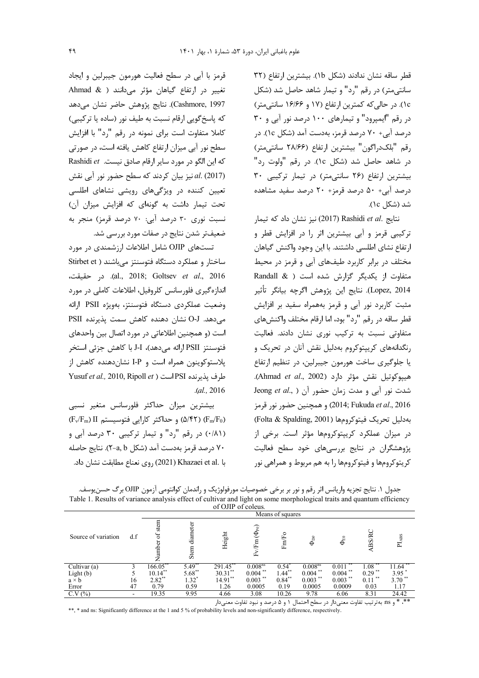قطر ساقه نشان ندادند (شكل lb). بيشترين ارتفاع (٣٢ سانتیمتر) در رقم "رد" و تیمار شاهد حاصل شد (شکل ١c). در حالي كه كمترين ارتفاع (١٧ و ١۶/۶۶ سانتي متر) در رقم "ایمپرود" و تیمارهای ۱۰۰ درصد نور آبی و ۳۰ درصد آبی+ ۷۰ درصد قرمز، بهدست آمد (شکل ۱c). در رقم "بلك دراگون" بيشترين ارتفاع (٢٨/۶۶ سانتي متر) در شاهد حاصل شد (شکل ١c). در رقم "ولوت رد" بیشترین ارتفاع (۲۶ سانتی متر) در تیمار ترکیبی ۳۰ درصد آبی+ ۵۰ درصد قرمز+ ۲۰ درصد سفید مشاهده شد (شکل ۱c).

نتايج .Rashidi *et al* (2017) نيز نشان داد كه تيمار ترکیبی قرمز و آبی بیشترین اثر را در افزایش قطر و ارتفاع نشای اطلسی داشتند. با این وجود واکنش گیاهان مختلف در برابر کاربرد طیفهای آبی و قرمز در محیط متفاوت از یکدیگر گزارش شده است ( & Randall Lopez, 2014). نتايج اين يژوهش اگرچه بيانگر تأثير مثبت کاربرد نور آبی و قرمز بههمراه سفید بر افزایش قطر ساقه در رقم "رد" بود، اما ارقام مختلف واكنشهاى متفاوتی نسبت به ترکیب نوری نشان دادند. فعالیت رنگدانههای کریپتوکروم بهدلیل نقش آنان در تحریک و یا جلوگیری ساخت هورمون جیبرلین، در تنظیم ارتفاع هييوكوتيل نقش مؤثر دارد (Ahmad et al., 2002). شدت نور آبی و مدت زمان حضور آن ( ,Jeong et al 2016) 2014; Fukuda et al., 2016) و همچنین حضور نور قرمز بهدليل تحريك فيتوكرومها (Folta & Spalding, 2001) در میزان عملکرد کریپتوکرومها مؤثر است. برخی از پژوهشگران در نتایج بررسی های خود سطح فعالیت کریتوکرومها و فیتوکرومها را به هم مربوط و همراهی نور

قرمز با آبی در سطح فعالیت هورمون جیبرلین و ایجاد تغيير در ارتفاع گياهان مؤثر مى دانند ( & Ahmad Cashmore, 1997). نتايج پژوهش حاضر نشان مىدهد كه پاسخ گويي ارقام نسبت به طيف نور (ساده يا تركيبي) كاملا متفاوت است براى نمونه در رقم "رد" با افزايش سطح نور آبی میزان ارتفاع کاهش یافته است، در صورتی كه اين الكو در مورد ساير ارقام صادق نيست. Rashidi et al. (2017) نیز بیان کردند که سطح حضور نور آبی نقش تعیین کننده در ویژگیهای رویشی نشاهای اطلسی تحت تیمار داشت به گونهای که افزایش میزان آن) نسبت نوری ۳۰ درصد آبی: ۷۰ درصد قرمز) منجر به ضعیفتر شدن نتایج در صفات مورد بررسی شد.

تستهای OJIP شامل اطلاعات ارزشمندی در مورد ساختار و عملکرد دستگاه فتوسنتز می باشند ( Stirbet et al., 2018; Goltsev et al., 2016). در حقيقت، اندازهگیری فلورسانس کلروفیل، اطلاعات کاملی در مورد وضعیت عملکردی دستگاه فتوسنتز، بهویژه PSII ارائه می دهد. O-J نشان دهنده کاهش سمت یذیرنده PSII است (و همچنین اطلاعاتی در مورد اتصال بین واحدهای فتوسنتز PSII ارائه مے دهد)، J-I با كاهش جزئي استخر پلاستوکوینون همراه است و I-P نشان دهنده کاهش از Yusuf et al., 2010, Ripoll et ) است ( Yusuf et al., 2010, Ripoll et  $. (al., 2016)$ 

بيشترين ميزان حداكثر فلورسانس متغير نسبى  $(F_v/F_m)$  (۱٬۵/۴۲) و حداکثر کارایی فتوسیستم (۴ $\Delta$ /۴۲) (F<sub>m</sub>/F<sub>0</sub>) (٠/٨١) در رقم "رد" و تيمار تركيبي ٣٠ درصد آبي و ۷۰ درصد قرمز بهدست آمد (شکل X−a, b). نتایج حاصله با .Khazaei et al (2021) روى نعناع مطابقت نشان داد.

| جدول ۱. نتایج تجزیه واریانس اثر رقم و نور بر برخی خصوصیات مورفولوژیک و راندمان کوانتومی آزمون OJIP برگ حسن وسف.        |
|------------------------------------------------------------------------------------------------------------------------|
| Table 1. Results of variance analysis effect of cultivar and light on some morphological traits and quantum efficiency |
| $\alpha$ f OIID of coleur                                                                                              |

| UI OJII UI OUGU.                 |     |                  |                      |            |                                 |           |                     |                    |            |           |
|----------------------------------|-----|------------------|----------------------|------------|---------------------------------|-----------|---------------------|--------------------|------------|-----------|
|                                  |     | Means of squares |                      |            |                                 |           |                     |                    |            |           |
| Source of variation              | d.f | stem<br>ð<br>È   | eter<br>diam<br>Stem | Height     | $(\Phi_{\text{P0}})$<br>Fm<br>匞 | (Fo<br>Fm | $\Phi_{D0}$         | $\Phi_{\text{E0}}$ | BS.        | ABS<br>Ξ  |
| $\overline{\text{Cultivar}}$ (a) |     | 166.05           | 5.49 <sup>°</sup>    | 291.45     | 0.008 <sup>ns</sup>             | 0.54      | 0.008 <sup>ns</sup> | 0.011              | .08        | 11.64     |
| Light (b) $a \times b$           |     | $10.14***$       | $5.68***$            | $30.31$ ** | $0.004$ **                      | $1.44$ ** | $0.004$ **          | $0.004$ **         | $0.29$ **  | 3.95      |
|                                  | 16  | $2.82***$        | $1.32^*$             | $14.91***$ | $0.003$ **                      | $0.84**$  | $0.003$ **          | $0.003$ **         | 零零<br>0.11 | $3.70$ ** |
| Error                            | 47  | 0.79             | 0.59                 | 1.26       | 0.0005                          | 0.19      | 0.0005              | 0.0009             | 0.03       | 1.17      |
| C.V(%)                           |     | 19.35            | 9.95                 | 4.66       | 3.08                            | 10.26     | 9.78                | 6.06               | 8.31       | 24.42     |

\*\*، \* و 18: بهترتیب تفاوت معنیدار در سطح احتمال ۱ و ۵ درصد و نبود تفاوت معنیدار

\*\*, \* and ns: Significantly difference at the 1 and 5 % of probability levels and non-significantly difference, respectively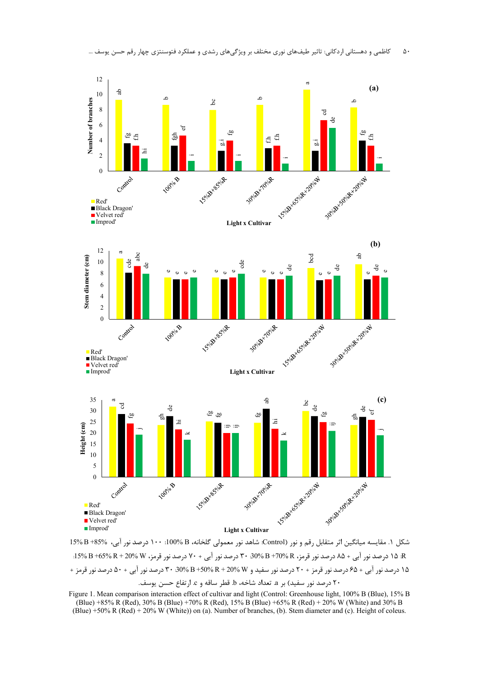

کاظمی و دهستانی اردکانی: تاثیر طیفهای نوری مختلف بر ویژگیهای رشدی و عملکرد فتوسنتزی چهار رقم ح  $\Delta$  . ۰ن يود

شكل ١. مقايسه ميانگين اثر متقابل رقم و نور (Control: شاهد نور معمولي گلخانه، B %100: ١٠٠ درصد نور آبي، %85+ B %15 R: ۱۵ درصد نور آبی + ۸۵ درصد نور قرمز، R %B +70رm + 30 درصد نور آبی + ۷۰ درصد نور قرمز، W %B +65 +65 5 15. ۱۵ درصد نور آبی + ۶۵ درصد نور قرمز + ۲۰ درصد نور سفید و R + 20% R + 20% B +50 درصد نور آبی + ۵۰ درصد نور قرمز + ۲۰ درصد نور سفید) بر a. تعداد شاخه، b. قطر ساقه و c. ارتفاع حسن یوسف.

Figure 1. Mean comparison interaction effect of cultivar and light (Control: Greenhouse light, 100% B (Blue), 15% B (Blue) +85% R (Red), 30% B (Blue) +70% R (Red), 15% B (Blue) +65% R (Red) + 20% W (White) and 30% B (Blue) +50% R (Red) + 20% W (White)) on (a). Number of branches, (b). Stem diameter and (c). Height of coleus.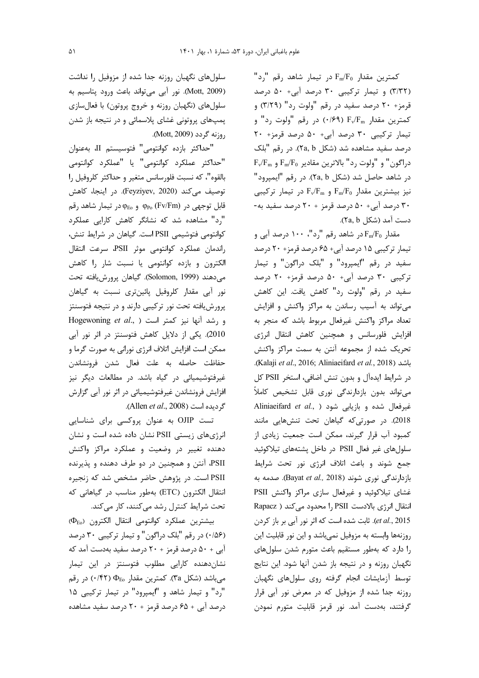$"$ کمترین مقدار  $F_{m}/F_{0}$  در تیمار شاهد رقم "رد (٣/٣٢) و تيمار تركيبي ٣٠ درصد آبي+ ۵٠ درصد قرمز+ ٢٠ درصد سفيد در رقم "ولوت رد" (٣/٢٩) و کمترین مقدار F<sub>v</sub>/F<sub>m</sub> (۰/۶۹) در رقم "ولوت رد" و تیمار ترکیبی ۳۰ درصد آبی+ ۵۰ درصد قرمز+ ۲۰ درصد سفید مشاهده شد (شکل ۲a, b). در رقم "بلک  $F_v/F_m$  و "ولوت رد" بالاترين مقادير  $F_m/F_0$  و  $F_w/F_m$ در شاهد حاصل شد (شكل ۲a, b). در رقم "ايمپرود" نیز بیشترین مقدار F $_{\rm m}/\rm F_{\rm m}$  و F $_{\rm v}/\rm F_{\rm m}$  در تیمار ترکیبی ۳۰ درصد آبی+ ۵۰ درصد قرمز + ۲۰ درصد سفید به-دست آمد (شكل ۲a, b).

مقدار Fm/Fo در شاهد رقم "رد"، ۱۰۰ درصد آبی و تیمار ترکیبی ۱۵ درصد آبی+ ۶۵ درصد قرمز+ ۲۰ درصد سفيد در رقم "ايمپرود" و "بلک دراگون" و تيمار ترکیبی ۳۰ درصد آبی+ ۵۰ درصد قرمز+ ۲۰ درصد سفيد در رقم "ولوت رد" كاهش يافت. اين كاهش می تواند به آسیب رساندن به مراکز واکنش و افزایش تعداد مراكز واكنش غيرفعال مربوط باشد كه منجر به افزایش فلورسانس و همچنین کاهش انتقال انرژی تحریک شده از مجموعه آنتن به سمت مراکز واکنش .(Kalaji et al., 2016; Aliniaeifard et al., 2018). در شرایط ایدهآل و بدون تنش اضافی، استخر PSII کل می تواند بدون بازدارندگی نوری قابل تشخیص کاملاً Aliniaeifard et al., ) غيرفعال شده و بازيابي شود 2018). در صورتی که گیاهان تحت تنشهایی مانند کمبود آب قرار گیرند، ممکن است جمعیت زیادی از سلولهای غیر فعال PSII در داخل پشتههای تیلاکوئید جمع شوند و باعث اتلاف انرژی نور تحت شرایط بازدارندگی نوری شوند (Bayat et al., 2018). صدمه به غشای تیلاکوئید و غیرفعال سازی مراکز واکنش PSII انتقال انرژی بالادست PSII ,ا محدود می کند ( Rapacz et al., 2015). ثابت شده است که اثر نور آبی بر باز کردن روزنهها وابسته به مزوفيل نمي باشد و اين نور قابليت اين را دارد که بهطور مستقیم باعث متورم شدن سلول های نگهبان روزنه و در نتیجه باز شدن آنها شود. این نتایج توسط آزمایشات انجام گرفته روی سلول های نگهبان روزنه جدا شده از مزوفیل که در معرض نور آبی قرار گرفتند، بهدست آمد. نور قرمز قابلیت متورم نمودن

سلولهای نگهبان روزنه جدا شده از مزوفیل را نداشت (Mott, 2009). نور آبی میتواند باعث ورود پتاسیم به سلولهای (نگهبان روزنه و خروج پروتون) با فعالسازی یمپهای پروتونی غشای پلاسمائی و در نتیجه باز شدن روزنه گردد (Mott, 2009).

"حداكثر بازده كوانتومي" فتوسيستم II، بهعنوان "حداكثر عملكرد كوانتومى" يا "عملكرد كوانتومى بالقوه"، كه نسبت فلورسانس متغير و حداكثر كلروفيل را توصيف مي كند (Feyziyev, 2020). در اينجا، كاهش قابل توجهی در φ<sub>Eo</sub> (Fv/Fm) و φ<sub>Eo</sub> در تیمار شاهد رقم "رد" مشاهده شد که نشانگر کاهش کارایی عملکرد كوانتومي فتوشيمي PSII است. گياهان در شرايط تنش، راندمان عملكرد كوانتومى موثر PSII، سرعت انتقال الکترون و بازده کوانتومی یا نسبت شار را کاهش مي دهند (Solomon, 1999). گياهان پرورش يافته تحت نور أبي مقدار كلروفيل پائينتري نسبت به گياهان پرورش یافته تحت نور ترکیبی دارند و در نتیجه فتوسنتز Hogewoning et al., ) ورشد آنها نيز كمتر است 2010). یکی از دلایل کاهش فتوسنتز در اثر نور آبی ممکن است افزایش اتلاف انرژی نورانی به صورت گرما و حفاظت حاصله به علت فعال شدن فرونشاندن غیرفتوشیمیائی در گیاه باشد. در مطالعات دیگر نیز افزایش فرونشاندن غیرفتوشیمیائی در اثر نور آبی گزارش گردیده است (Allen et al., 2008).

تست OJIP به عنوان پروکسی برای شناسایی انرژیهای زیستی PSII نشان داده شده است و نشان دهنده تغییر در وضعیت و عملکرد مراکز واکنش PSII، آنتن و همچنین در دو طرف دهنده و پذیرنده PSII است. در پژوهش حاضر مشخص شد که زنجیره انتقال الكترون (ETC) بهطور مناسب در گیاهانی كه تحت شرایط کنترل رشد می کنند، کار می کند.

 $(\Phi_{Eo})$  بيشترين عملكرد كوانتومى انتقال الكترون ( $\Phi_{Eo}$ (۱۵۶) در رقم "بلک دراگون" و تیمار ترکیبی ۳۰ درصد آبی + ۵۰ درصد قرمز + ۲۰ درصد سفید بهدست آمد که نشان دهنده کارایی مطلوب فتوسنتز در این تیمار میباشد (شکل ۳a). کمترین مقدار  $\Phi_{\rm E}$  (۲۴۲) در رقم "رد" و تیمار شاهد و "ایمپرود" در تیمار ترکیبی ۱۵ درصد آبی + ۶۵ درصد قرمز + ۲۰ درصد سفید مشاهده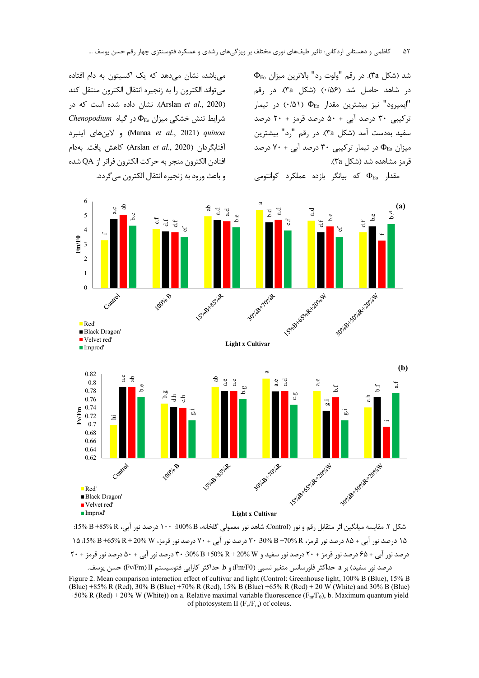$\Phi_{\text{Eo}}$  شد (شکل ۳۵). در رقم "ولوت رد" بالاترین میزان در شاهد حاصل شد (۰/۵۶) (شكل ۳a). در رقم ایمپرود" نیز بیشترین مقدار . $\Phi_{\rm E}$  (۰/۵۱) در تیمار" ترکیبی ۳۰ درصد آبی + ۵۰ درصد قرمز + ۲۰ درصد سفید بهدست آمد (شکل ۳a). در رقم "رد" بیشترین میزان  $\Phi_{\rm E}$  در تیمار ترکیبی ۳۰ درصد آبی $\cdot$ ۷۰ درصد قرمز مشاهده شد (شكل ٣a).

مي تواند الكترون را به زنجيره انتقال الكترون منتقل كند (Arslan et al., 2020). نشان داده شده است که در  $Chenopodium$  شرایط تنش خشکی میزان  $\Phi_{\rm E}$  در گیاه و لاينهاى اينبرد) (Manaa et al., 2021) quinoa آفتابگردان (Arslan *et al.*, 2020) كاهش يافت. بهدام افتادن الكترون منجر به حركت الكترون فراتر از QA شده و باعث ورود به زنجیره انتقال الکترون مے گردد.

میباشد، نشان می دهد که یک اکسیتون به دام افتاده





شكل ۲. مقايسه ميانگين اثر متقابل رقم و نور (Control: شاهد نور معمولي گلخانه، B %100؛ ١٠٠ درصد نور آبي، R %85+ B: ۱۵ درصد نور آبی + ۸۵ درصد نور قرمز، B +70% B +70% درصد نور آبی + ۷۰ درصد نور قرمز، W %N +65% 5% 5%. ۱۵ درصد درصد نور آبی + ۶۵ درصد نور قرمز + ۲۰ درصد نور سفید و R + 20% R + 20% B + 30% ۲۰ درصد نور آبی + ۵۰ درصد نور قرمز + ۲۰ درصد نور سفيد) بر a حداكثر فلورسانس متغير نسبي (Fm/F0) و b حداكثر كارايي فتوسيستم Fv/Fm)II) حسن يوسف.

Figure 2. Mean comparison interaction effect of cultivar and light (Control: Greenhouse light, 100% B (Blue), 15% B (Blue) +85% R (Red), 30% B (Blue) +70% R (Red), 15% B (Blue) +65% R (Red) + 20 W (White) and 30% B (Blue) +50% R (Red) + 20% W (White)) on a. Relative maximal variable fluorescence ( $F_m/F_0$ ), b. Maximum quantum yield of photosystem II  $(F_v/F_m)$  of coleus.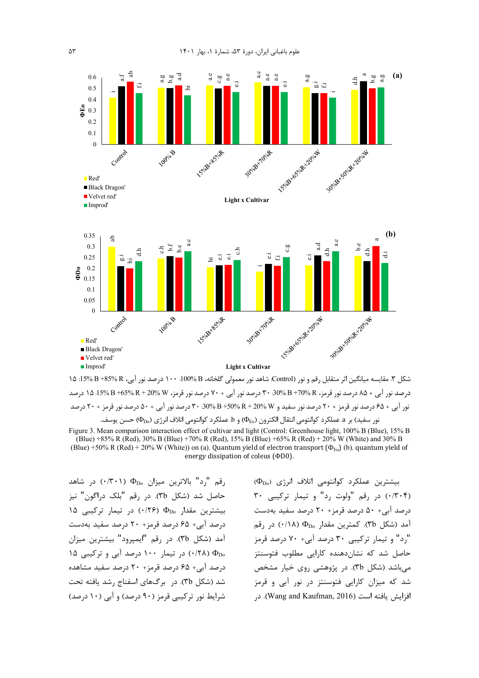

شکل ۳. مقایسه میانگین اثر متقابل رقم و نور (Control: شاهد نور معمولی گلخانه، B %100: ۱۰۰ درصد نور آبی، R %85+B %15: ۱۵ درصد نور آبی + ۸۵ درصد نور قرمز، R +70% B +70% ورصد نور آبی + ۷۰ درصد نور قرمز، W %X + 59% B +65 15 درصد نور آبی + ۶۵ درصد نور قرمز + ۲۰ درصد نور سفید و R + 20% R + 20% B +50 درصد نور آبی + ۵۰ درصد نور قرمز + ۲۰ درصد نور سفيد) بر a عملكرد كوانتومي انتقال الكترون (Þ $_{\rm Eo}$ ) و b. عملكرد كوانتومي اتلاف انرژى (Փ $_{\rm Do}$  حسن يوسف.

رقم "رد" بالاترين ميزان .4D (٠/٣٠١) در شاهد حاصل شد (شکل ٣b). در رقم "بلک دراگون" نيز  $10$  بیشترین مقدار  $\Phi_{\text{Do}}$  (۱۲۶٪) در تیمار ترکیبی ۱۵ درصد آبی+ ۶۵ درصد قرمز+ ۲۰ درصد سفید بهدست .<br>آمد (شکل ۳b). در رقم "ایمپرود" بیشترین میزان 16 (۲۸) در تیمار ۱۰۰ درصد آبی و ترکیبی ۱۵ $\Phi_{\rm Do}$ درصد آبی+ ۶۵ درصد قرمز+ ۲۰ درصد سفید مشاهده شد (شکل ۳b). در برگهای اسفناج رشد یافته تحت شرایط نور ترکیبی قرمز (۹۰ درصد) و آبی (۱۰ درصد)

 $(\Phi_{Do})$  بیشترین عملکرد کوانتومی اتلاف انرژی (۰/۳۰۴) در رقم "ولوت رد" و تيمار تركيبي ٣٠ درصد آبی+ ۵۰ درصد قرمز+ ۲۰ درصد سفید بهدست مد (شکل ۳b). کمترین مقدار  $\Phi_{\rm Do}$  (۰/۱۸) در رقم د" و تیمار ترکیبی ۳۰ درصد آبی+ ۷۰ درصد قرمز" حاصل شد که نشاندهنده کارایی مطلوب فتوسنتز میباشد (شکل ۳b). در پژوهشی روی خیار مشخص شد که میزان کارایی فتوسنتز در نور آبی و قرمز افزایش بافته است (Wang and Kaufman, 2016). در

Figure 3. Mean comparison interaction effect of cultivar and light (Control: Greenhouse light, 100% B (Blue), 15% B (Blue) +85% R (Red), 30% B (Blue) +70% R (Red), 15% B (Blue) +65% R (Red) + 20% W (White) and 30% B (Blue) +50% R (Red) + 20% W (White)) on (a). Quantum yield of electron transport ( $\Phi_{E_0}$ ) (b). quantum yield of energy dissipation of coleus (ΦD0).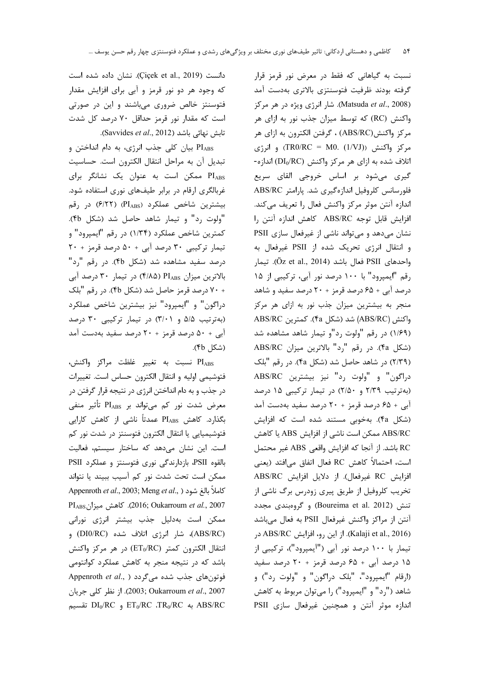نسبت به گیاهانی که فقط در معرض نور قرمز قرار گرفته بودند ظرفیت فتوسنتزی بالاتری بهدست آمد (Matsuda et al., 2008). شار انرژی ویژه در هر مرکز واکنش (RC) که توسط میزان جذب نور به ازای هر مركز واكنش(ABS/RC) ، گرفتن الكترون به ازاي هر  $\epsilon$ و انرژی (TR0/RC = M0. (1/VJ)) و انرژی اتلاف شده به ازای هر مرکز واکنش (DI<sub>0</sub>/RC) اندازه-گیری میشود بر اساس خروجی القای سریع فلورسانس كلروفيل اندازهگيري شد. پارامتر ABS/RC اندازه آنتن موثر مركز واكنش فعال را تعريف مى كند. افزايش قابل توجه ABS/RC كاهش اندازه آنتن را نشان میدهد و میتواند ناشی از غیرفعال سازی PSII و انتقال انرژی تحریک شده از PSII غیرفعال به واحدهاي PSII فعال باشد (Öz et al., 2014). تيمار رقم "ایمپرود" با ۱۰۰ درصد نور آبی، ترکیبی از ۱۵ درصد آبی + ۶۵ درصد قرمز + ۲۰ درصد سفید و شاهد منجر به بیشترین میزان جذب نور به ازای هر مرکز واكنش (ABS/RC) شد (شكل fa). كمترين ABS/RC (١/۶٩) در رقم "ولوت رد"و تيمار شاهد مشاهده شد (شكل fa). در رقم "رد" بالاترين ميزان ABS/RC (۲/۳۹) در شاهد حاصل شد (شکل ۴a). در رقم "بلک دراگون" و "ولوت رد" نيز بيشترين ABS/RC (بهترتیب ۲/۳۹ و ۲/۵۰) در تیمار ترکیبی ۱۵ درصد آبی + ۶۵ درصد قرمز + ۲۰ درصد سفید بهدست آمد (شکل ۴a). بهخوبی مستند شده است که افزایش ABS/RC ممكن است ناشي از افزايش ABS يا كاهش RC باشد. از آنجا که افزایش واقعی ABS غیر محتمل است، احتمالاً كاهش RC فعال اتفاق مى افتد (يعنى افزايش RC غيرفعال). از دلايل افزايش ABS/RC تخریب کلروفیل از طریق پیری زودرس برگ ناشی از تنش (Boureima et al. 2012) و گروهبندی مجدد آنتن از مراكز واكنش غيرفعال PSII به فعال مىباشد (Kalaji et al., 2016). از این رو، افزایش ABS/RC در تیمار با ۱۰۰ درصد نور آبی ("ایمپرود")، ترکیبی از ۱۵ درصد آبی + ۶۵ درصد قرمز + ۲۰ درصد سفید (ارقام "ايميرود"، "بلک دراگون" و "ولوت رد") و شاهد ("رد" و "ايمپرود") را ميتوان مربوط به كاهش اندازه موثر آنتن و همچنین غیرفعال سازی PSII

دانست (Cicek et al., 2019). نشان داده شده است که وجود هر دو نور قرمز و آبی برای افزایش مقدار فتوسنتز خالص ضروری میباشند و این در صورتی است که مقدار نور قرمز حداقل ۷۰ درصد کل شدت تابش نهائی باشد (Savvides et al., 2012).

PIABS بیان کلی جذب انرژی، به دام انداختن و تبدیل آن به مراحل انتقال الکترون است. حساسیت PIABS ممکن است به عنوان یک نشانگر برای غربالگری ارقام در برابر طیفهای نوری استفاده شود. بيشترين شاخص عملكرد (PIABS) (۶/۲۲ در رقم "ولوت رد" و تيمار شاهد حاصل شد (شكل ۴b). كمترين شاخص عملكرد (١/٣۴) در رقم "ايمپرود" و تیمار ترکیبی ۳۰ درصد آبی + ۵۰ درصد قرمز + ۲۰ درصد سفید مشاهده شد (شکل ۴b). در رقم "رد" بالاترین میزان PIABS (۴/۸۵) در تیمار ۳۰ درصد آبی + ٧٠ درصد قرمز حاصل شد (شكل ۴b). در رقم "بلك دراگون" و "ايمپرود" نيز بيشترين شاخص عملكرد (به ترتیب ۵/۵ و ۳/۰۱) در تیمار ترکیبی ۳۰ درصد آبی + ۵۰ درصد قرمز + ۲۰ درصد سفید بهدست آمد (شكل ۴b).

PI<sub>ABS</sub> نسبت به تغيير غلظت مراكز واكنش، فتوشيمي اوليه و انتقال الكترون حساس است. تغييرات در جذب و به دام انداختن انرژی در نتیجه قرار گرفتن در معرض شدت نور کم میتواند بر PI<sub>ABS</sub> تأثیر منفی بگذارد. کاهش PI<sub>ABS</sub> عمدتاً ناشی از کاهش کارایی فتوشيميايي يا انتقال الكترون فتوسنتز در شدت نور كم است. این نشان میدهد که ساختار سیستم، فعالیت بالقوه PSII، بازدارندگی نوری فتوسنتز و عملکرد PSII ممكن است تحت شدت نور كم آسيب ببيند يا نتواند Appenroth et al., 2003; Meng et al., ) كاملاً بالغ شود 2007). كاهش ميزانPI<sub>ABS</sub> بان ممکن است بهدلیل جذب بیشتر انرژی نورانی (ABS/RC)، شار انرژی اتلاف شده (DI0/RC) و انتقال الكترون كمتر (ET0/RC) در هر مركز واكنش باشد که در نتیجه منجر به کاهش عملکرد کوانتومی Appenroth et al., ) فوتونهای جذب شده می گردد 2007). از نظر كلي جريان (2003; Oukarroum et al., 2007  $\overline{\text{DI}_0/\text{RC}}$  به  $\overline{\text{LT}_0/\text{RC}}$  ،  $\overline{\text{TR}_0/\text{RC}}$  به  $\overline{\text{ABS}/\text{RC}}$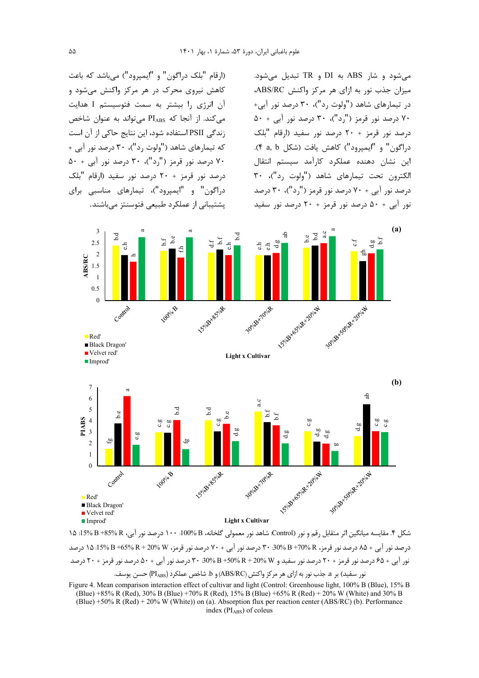(ارقام "بلک دراگون" و "ایمپرود") میباشد که باعث کاهش نیروی محرک در هر مرکز واکنش میشود و آن انرژی را بیشتر به سمت فتوسیستم I هدایت می کند. از آنجا که PIABS می تواند به عنوان شاخص زندگی PSII استفاده شود، این نتایج حاکی از آن است که تیمارهای شاهد ("ولوت رد")، ۳۰ درصد نور آبی + ۷۰ درصد نور قرمز ("رد")، ۳۰ درصد نور آبی + ۵۰ درصد نور قرمز + ٢٠ درصد نور سفيد (ارقام "بلک دراگون" و "ایمیرود")، تیمارهای مناسبی برای پشتیبانی از عملکرد طبیعی فتوسنتز میباشند.

مے شود و شار ABS به DI و TR تبدیل مے شود. میزان جذب نور به ازای هر مرکز واکنش ABS/RC، در تیمارهای شاهد ("ولوت رد")، ۳۰ درصد نور آبی+ ۷۰ درصد نور قرمز ("رد")، ۳۰ درصد نور آبی + ۵۰ درصد نور قرمز + ٢٠ درصد نور سفيد (ارقام "بلک دراگون" و "ايميرود") كاهش يافت (شكل a, b). این نشان دهنده عملکرد کارآمد سیستم انتقال الكترون تحت تيمارهاى شاهد ("ولوت ,د")، ٣٠  $\sim$  ۲۰ درصد نور آبی + ۷۰ درصد نور قرمز (",د")، ۳۰ درصد نور آبی + ۵۰ درصد نور قرمز + ۲۰ درصد نور سفید



شكل ۴. مقايسه ميانگين اثر متقابل رقم و نور (Control شاهد نور معمولي گلخانه، B %100؛ ١٠٠ درصد نور آبي، R %85+ B %15؛ ١۵ درصد نور آبی + ۸۵ درصد نور قرمز، R %10+ B %00 + 70 درصد نور آبی + ۷۰ درصد نور قرمز، W %10 + 50 %15 + 15 %15. ۱۵ نور آپی + ۶۵ درصد نور قرمز + ۲۰ درصد نور سفید و R + 20% R + 20% B + 30% ۳۰ درصد نور آپی + ۵۰ درصد نور قرمز + ۲۰ درصد نور سفید) بر a. جذب نور به ازای هر مرکز واکنش (ABS/RC) و b. شاخص عملکرد (PI<sub>ABS</sub>) حسن یوسف.

Figure 4. Mean comparison interaction effect of cultivar and light (Control: Greenhouse light, 100% B (Blue), 15% B (Blue) +85% R (Red), 30% B (Blue) +70% R (Red), 15% B (Blue) +65% R (Red) + 20% W (White) and 30% B (Blue) +50% R (Red) + 20% W (White)) on (a). Absorption flux per reaction center (ABS/RC) (b). Performance index (PIABS) of coleus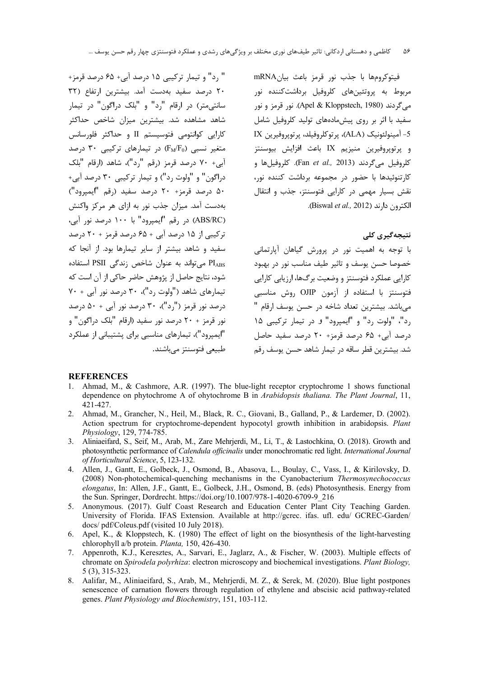" رد" و تیمار ترکیبی ۱۵ درصد آبی+ ۶۵ درصد قرمز+ ٢٠ درصد سفيد بهدست آمد. بيشترين ارتفاع (٣٢ سانتے متر) در ارقام "د" و "بلک دراگون" در تیمار شاهد مشاهده شد. بیشترین میزان شاخص حداکثر کارایی کوانتومی فتوسیستم II و حداکثر فلورسانس متغير نسبى (FM/Fo) در تيمارهاى تركيبى ٣٠ درصد آبی+ ۷۰ درصد قرمز (رقم "رد")، شاهد (ارقام "بلک دراگون" و "ولوت رد") و تیمار ترکیبی ۳۰ درصد آبی+ ۵۰ درصد قرمز+ ۲۰ درصد سفید (رقم "ایمیرود") بهدست آمد. میزان جذب نور به ازای هر مرکز واکنش (ABS/RC) در رقم "ایمیرود" با ۱۰۰ درصد نور آبی، ترکیبی از ۱۵ درصد آبی + ۶۵ درصد قرمز + ۲۰ درصد سفید و شاهد بیشتر از سایر تیمارها بود. از آنجا که PIABS می تواند به عنوان شاخص زندگی PSII استفاده شود، نتایج حاصل از پژوهش حاضر حاکی از آن است که تیمارهای شاهد ("ولوت رد")، ۳۰ درصد نور آبی + ۷۰  $\Delta \cdot + \Delta$ درصد نور قرمز ("رد")، ۳۰ درصد نور آبی $\Delta \cdot + \Delta$  درصد نور قرمز + ٢٠ درصد نور سفيد (ارقام "بلک دراگون" و "ایمپرود")، تیمارهای مناسبی برای پشتیبانی از عملکرد طبیعی فتوسنتز مے باشند. فيتوكرومها با جذب نور قرمز باعث بيانmRNA مربوط به پروتئینهای کلروفیل برداشتکننده نور مي گردند (Apel & Kloppstech, 1980). نور قرمز و نور سفید با اثر بر روی پیش،مادههای تولید کلروفیل شامل 5- آمينولئونيک (ALA)، پرتوکلروفيلد، پرتوپروفيرين IX و پرتوپروفيرين منيزيم IX باعث افزايش بيوسنتز كلروفيل مي گردند (Fan et al., 2013). كلروفيلها و کارتنوئیدها با حضور در مجموعه برداشت کننده نور، نقش بسيار مهمي در كارايي فتوسنتز، جذب و انتقال الكترون دارند (Biswal et al., 2012).

# نتیجەگیرى كلى

با توجه به اهمیت نور در پرورش گیاهان آپارتمانی خصوصا حسن يوسف و تاثير طيف مناسب نور در بهبود کارایی عملکرد فتوسنتز و وضعیت برگ@ا، ارزیایی کارایی فتوسنتز با استفاده از آزمون OJIP روش مناسب*ی* میباشد. بیشترین تعداد شاخه در حسن یوسف ا,قام ' رد"، "ولوت رد" و "ايمپرود" و در تيمار تركيبى ١٥ درصد آبی+ ۶۵ درصد قرمز+ ۲۰ درصد سفید حاصل شد. بیشترین قطر ساقه در تیمار شاهد حسن پوسف رقم

### **REFERENCES**

- 1. Ahmad, M., & Cashmore, A.R. (1997). The blue-light receptor cryptochrome 1 shows functional dependence on phytochrome A of ohytochrome B in Arabidopsis thaliana. The Plant Journal, 11, 421-427.
- 2. Ahmad, M., Grancher, N., Heil, M., Black, R. C., Giovani, B., Galland, P., & Lardemer, D. (2002). Action spectrum for cryptochrome-dependent hypocotyl growth inhibition in arabidopsis. Plant Physiology, 129, 774-785.
- 3. Aliniaeifard, S., Seif, M., Arab, M., Zare Mehrjerdi, M., Li, T., & Lastochkina, O. (2018). Growth and photosynthetic performance of Calendula officinalis under monochromatic red light. International Journal of Horticultural Science, 5, 123-132.
- 4. Allen, J., Gantt, E., Golbeck, J., Osmond, B., Abasova, L., Boulay, C., Vass, I., & Kirilovsky, D. (2008) Non-photochemical-quenching mechanisms in the Cyanobacterium Thermosynechococcus elongatus, In: Allen, J.F., Gantt, E., Golbeck, J.H., Osmond, B. (eds) Photosynthesis. Energy from the Sun. Springer, Dordrecht. https://doi.org/10.1007/978-1-4020-6709-9\_216
- 5. Anonymous. (2017). Gulf Coast Research and Education Center Plant City Teaching Garden. University of Florida. IFAS Extension. Available at http://gcrec. ifas. ufl. edu/ GCREC-Garden/ docs/pdf/Coleus.pdf (visited 10 July 2018).
- 6. Apel, K., & Kloppstech, K. (1980) The effect of light on the biosynthesis of the light-harvesting chlorophyll a/b protein. Planta, 150, 426-430.
- 7. Appenroth, K.J., Keresztes, A., Sarvari, E., Jaglarz, A., & Fischer, W. (2003). Multiple effects of chromate on Spirodela polyrhiza: electron microscopy and biochemical investigations. Plant Biology,  $5(3), 315-323.$
- 8. Aalifar, M., Aliniaeifard, S., Arab, M., Mehrjerdi, M. Z., & Serek, M. (2020). Blue light postpones senescence of carnation flowers through regulation of ethylene and abscisic acid pathway-related genes. Plant Physiology and Biochemistry, 151, 103-112.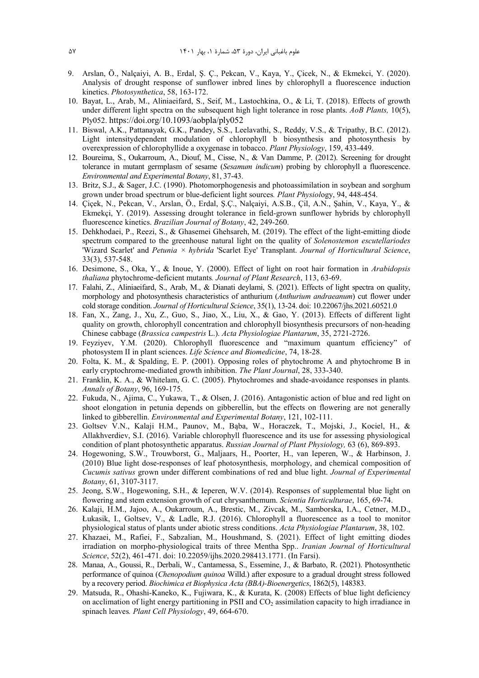- 9. Arslan, Ö., Nalçaiyi, A. B., Erdal, Ş. Ç., Pekcan, V., Kaya, Y., Çicek, N., & Ekmekci, Y. (2020). Analysis of drought response of sunflower inbred lines by chlorophyll a fluorescence induction kinetics. *Photosynthetica*, 58, 163-172.
- 10. Bayat, L., Arab, M., Aliniaeifard, S., Seif, M., Lastochkina, O., & Li, T. (2018). Effects of growth under different light spectra on the subsequent high light tolerance in rose plants. *AoB Plants,* 10(5), Ply052. https://doi.org/10.1093/aobpla/ply052
- 11. Biswal, A.K., Pattanayak, G.K., Pandey, S.S., Leelavathi, S., Reddy, V.S., & Tripathy, B.C. (2012). Light intensitydependent modulation of chlorophyll b biosynthesis and photosynthesis by overexpression of chlorophyllide a oxygenase in tobacco. *Plant Physiology*, 159, 433-449.
- 12. Boureima, S., Oukarroum, A., Diouf, M., Cisse, N., & Van Damme, P. (2012). Screening for drought tolerance in mutant germplasm of sesame (*Sesamum indicum*) probing by chlorophyll a fluorescence. *Environmental and Experimental Botany*, 81, 37-43.
- 13. Britz, S.J., & Sager, J.C. (1990). Photomorphogenesis and photoassimilation in soybean and sorghum grown under broad spectrum or blue-deficient light sources*. Plant Physiol*ogy, 94, 448-454.
- 14. Çiçek, N., Pekcan, V., Arslan, Ö., Erdal, Ş.Ç., Nalçaiyi, A.S.B., Çil, A.N., Şahin, V., Kaya, Y., & Ekmekçi, Y. (2019). Assessing drought tolerance in field-grown sunflower hybrids by chlorophyll fluorescence kinetics. *Brazilian Journal of Botany*, 42, 249-260.
- 15. Dehkhodaei, P., Reezi, S., & Ghasemei Ghehsareh, M. (2019). The effect of the light-emitting diode spectrum compared to the greenhouse natural light on the quality of *Solenostemon escutellariodes* 'Wizard Scarlet' and *Petunia × hybrida* 'Scarlet Eye' Transplant. *Journal of Horticultural Science*, 33(3), 537-548.
- 16. Desimone, S., Oka, Y., & Inoue, Y. (2000). Effect of light on root hair formation in *Arabidopsis thaliana* phytochrome-deficient mutants*. Journal of Plant Research*, 113, 63-69.
- 17. Falahi, Z., Aliniaeifard, S., Arab, M., & Dianati deylami, S. (2021). Effects of light spectra on quality, morphology and photosynthesis characteristics of anthurium (*Anthurium andraeanum*) cut flower under cold storage condition. *Journal of Horticultural Science*, 35(1), 13-24. doi: 10.22067/jhs.2021.60521.0
- 18. Fan, X., Zang, J., Xu, Z., Guo, S., Jiao, X., Liu, X., & Gao, Y. (2013). Effects of different light quality on growth, chlorophyll concentration and chlorophyll biosynthesis precursors of non-heading Chinese cabbage (*Brassica campestris* L.). *Acta Physiologiae Plantarum*, 35, 2721-2726.
- 19. Feyziyev, Y.M. (2020). Chlorophyll fluorescence and "maximum quantum efficiency" of photosystem II in plant sciences. *Life Science and Biomedicine*, 74, 18-28.
- 20. Folta, K. M., & Spalding, E. P. (2001). Opposing roles of phytochrome A and phytochrome B in early cryptochrome-mediated growth inhibition. *The Plant Journal*, 28, 333-340.
- 21. Franklin, K. A., & Whitelam, G. C. (2005). Phytochromes and shade-avoidance responses in plants*. Annals of Botany*, 96, 169-175.
- 22. Fukuda, N., Ajima, C., Yukawa, T., & Olsen, J. (2016). Antagonistic action of blue and red light on shoot elongation in petunia depends on gibberellin, but the effects on flowering are not generally linked to gibberellin. *Environmental and Experimental Botany*, 121, 102-111.
- 23. Goltsev V.N., Kalaji H.M., Paunov, M., Bąba, W., Horaczek, T., Mojski, J., Kociel, H., & Allakhverdiev, S.I. (2016). Variable chlorophyll fluorescence and its use for assessing physiological condition of plant photosynthetic apparatus. *Russian Journal of Plant Physiology,* 63 (6), 869-893.
- 24. Hogewoning, S.W., Trouwborst, G., Maljaars, H., Poorter, H., van Ieperen, W., & Harbinson, J. (2010) Blue light dose-responses of leaf photosynthesis, morphology, and chemical composition of *Cucumis sativus* grown under different combinations of red and blue light. *Journal of Experimental Botany*, 61, 3107-3117.
- 25. Jeong, S.W., Hogewoning, S.H., & Ieperen, W.V. (2014). Responses of supplemental blue light on flowering and stem extension growth of cut chrysanthemum. *Scientia Horticulturae*, 165, 69-74.
- 26. Kalaji, H.M., Jajoo, A., Oukarroum, A., Brestic, M., Zivcak, M., Samborska, I.A., Cetner, M.D., Łukasik, I., Goltsev, V., & Ladle, R.J. (2016). Chlorophyll a fluorescence as a tool to monitor physiological status of plants under abiotic stress conditions. *Acta Physiologiae Plantarum*, 38, 102.
- 27. Khazaei, M., Rafiei, F., Sabzalian, M., Houshmand, S. (2021). Effect of light emitting diodes irradiation on morpho-physiological traits of three Mentha Spp. . *Iranian Journal of Horticultural Science*, 52(2), 461-471. doi: 10.22059/ijhs.2020.298413.1771. (In Farsi).
- 28. Manaa, A., Goussi, R., Derbali, W., Cantamessa, S., Essemine, J., & Barbato, R. (2021). Photosynthetic performance of quinoa (*Chenopodium quinoa* Willd.) after exposure to a gradual drought stress followed by a recovery period. *Biochimica et Biophysica Acta (BBA)-Bioenergetics*, 1862(5), 148383.
- 29. Matsuda, R., Ohashi-Kaneko, K., Fujiwara, K., & Kurata, K. (2008) Effects of blue light deficiency on acclimation of light energy partitioning in PSII and CO<sub>2</sub> assimilation capacity to high irradiance in spinach leaves*. Plant Cell Physiology*, 49, 664-670.